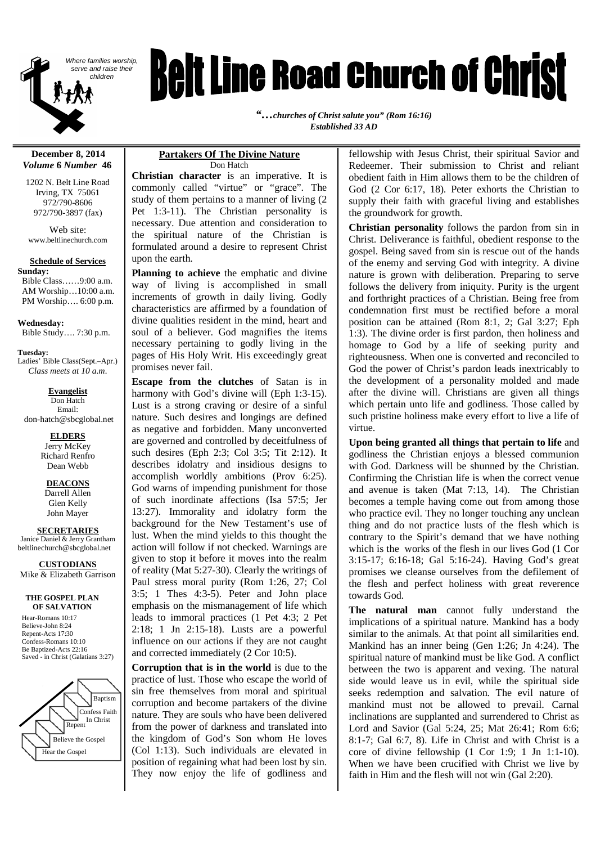

# *Belt Line Road Church of Christ*

*"…churches of Christ salute you" (Rom 16:16) Established 33 AD*

#### **December 8, 2014** *Volume* **6** *Number* **46**

1202 N. Belt Line Road Irving, TX 75061 972/790-8606 972/790-3897 (fax)

Web site: www.beltlinechurch.com

#### **Schedule of Services**

**Sunday:** Bible Class……9:00 a.m. AM Worship…10:00 a.m. PM Worship…. 6:00 p.m.

**Wednesday:** Bible Study…. 7:30 p.m.

**Tuesday:** Ladies' Bible Class(Sept.–Apr.) *Class meets at 10 a.m.*

**Evangelist** Don Hatch Email: don-hatch@sbcglobal.net

> **ELDERS** Jerry McKey Richard Renfro

> > Dean Webb **DEACONS** Darrell Allen

Glen Kelly John Mayer

**SECRETARIES** Janice Daniel & Jerry Grantham

beltlinechurch@sbcglobal.net

**CUSTODIANS** Mike & Elizabeth Garrison

#### **THE GOSPEL PLAN OF SALVATION**

Hear-Romans 10:17 Believe-John 8:24 Repent-Acts 17:30 Confess-Romans 10:10 Be Baptized-Acts 22:16 Saved - in Christ (Galatians 3:27)



#### **Partakers Of The Divine Nature** Don Hatch

**Christian character** is an imperative. It is commonly called "virtue" or "grace". The study of them pertains to a manner of living (2 Pet 1:3-11). The Christian personality is necessary. Due attention and consideration to the spiritual nature of the Christian is formulated around a desire to represent Christ upon the earth.

**Planning to achieve** the emphatic and divine way of living is accomplished in small increments of growth in daily living. Godly characteristics are affirmed by a foundation of divine qualities resident in the mind, heart and soul of a believer. God magnifies the items necessary pertaining to godly living in the pages of His Holy Writ. His exceedingly great promises never fail.

**Escape from the clutches** of Satan is in harmony with God's divine will (Eph 1:3-15). Lust is a strong craving or desire of a sinful nature. Such desires and longings are defined as negative and forbidden. Many unconverted are governed and controlled by deceitfulness of such desires (Eph 2:3; Col 3:5; Tit 2:12). It describes idolatry and insidious designs to accomplish worldly ambitions (Prov 6:25). God warns of impending punishment for those of such inordinate affections (Isa 57:5; Jer 13:27). Immorality and idolatry form the background for the New Testament's use of lust. When the mind yields to this thought the action will follow if not checked. Warnings are given to stop it before it moves into the realm of reality (Mat 5:27-30). Clearly the writings of Paul stress moral purity (Rom 1:26, 27; Col 3:5; 1 Thes 4:3-5). Peter and John place emphasis on the mismanagement of life which leads to immoral practices (1 Pet 4:3; 2 Pet 2:18; 1 Jn 2:15-18). Lusts are a powerful influence on our actions if they are not caught and corrected immediately (2 Cor 10:5).

**Corruption that is in the world** is due to the practice of lust. Those who escape the world of sin free themselves from moral and spiritual corruption and become partakers of the divine nature. They are souls who have been delivered from the power of darkness and translated into the kingdom of God's Son whom He loves (Col 1:13). Such individuals are elevated in position of regaining what had been lost by sin. They now enjoy the life of godliness and fellowship with Jesus Christ, their spiritual Savior and Redeemer. Their submission to Christ and reliant obedient faith in Him allows them to be the children of God (2 Cor 6:17, 18). Peter exhorts the Christian to supply their faith with graceful living and establishes the groundwork for growth.

**Christian personality** follows the pardon from sin in Christ. Deliverance is faithful, obedient response to the gospel. Being saved from sin is rescue out of the hands of the enemy and serving God with integrity. A divine nature is grown with deliberation. Preparing to serve follows the delivery from iniquity. Purity is the urgent and forthright practices of a Christian. Being free from condemnation first must be rectified before a moral position can be attained (Rom 8:1, 2; Gal 3:27; Eph 1:3). The divine order is first pardon, then holiness and homage to God by a life of seeking purity and righteousness. When one is converted and reconciled to God the power of Christ's pardon leads inextricably to the development of a personality molded and made after the divine will. Christians are given all things which pertain unto life and godliness. Those called by such pristine holiness make every effort to live a life of virtue.

**Upon being granted all things that pertain to life** and godliness the Christian enjoys a blessed communion with God. Darkness will be shunned by the Christian. Confirming the Christian life is when the correct venue and avenue is taken (Mat 7:13, 14). The Christian becomes a temple having come out from among those who practice evil. They no longer touching any unclean thing and do not practice lusts of the flesh which is contrary to the Spirit's demand that we have nothing which is the works of the flesh in our lives God (1 Cor 3:15-17; 6:16-18; Gal 5:16-24). Having God's great promises we cleanse ourselves from the defilement of the flesh and perfect holiness with great reverence towards God.

**The natural man** cannot fully understand the implications of a spiritual nature. Mankind has a body similar to the animals. At that point all similarities end. Mankind has an inner being (Gen 1:26; Jn 4:24). The spiritual nature of mankind must be like God. A conflict between the two is apparent and vexing. The natural side would leave us in evil, while the spiritual side seeks redemption and salvation. The evil nature of mankind must not be allowed to prevail. Carnal inclinations are supplanted and surrendered to Christ as Lord and Savior (Gal 5:24, 25; Mat 26:41; Rom 6:6; 8:1-7; Gal 6:7, 8). Life in Christ and with Christ is a core of divine fellowship (1 Cor 1:9; 1 Jn 1:1-10). When we have been crucified with Christ we live by faith in Him and the flesh will not win (Gal 2:20).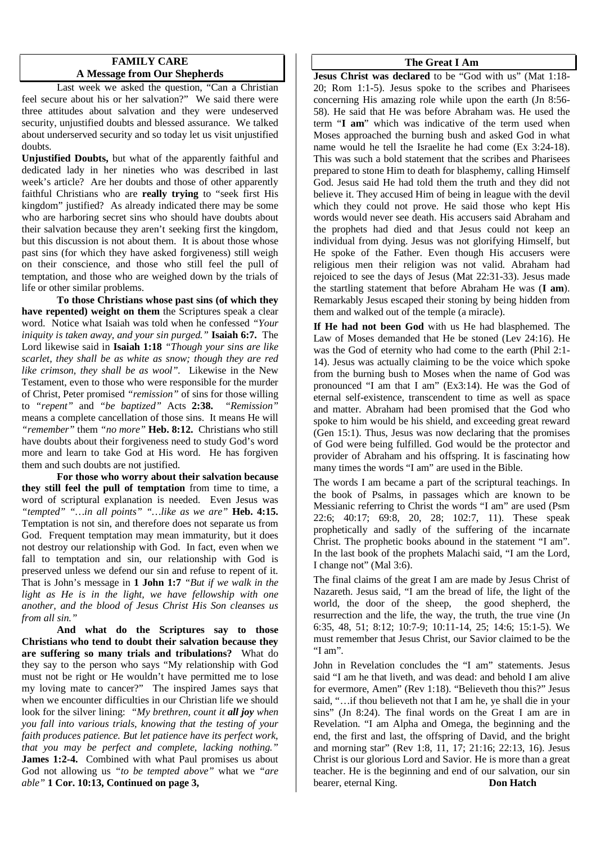#### **FAMILY CARE A Message from Our Shepherds**

Last week we asked the question, "Can a Christian feel secure about his or her salvation?" We said there were three attitudes about salvation and they were undeserved security, unjustified doubts and blessed assurance. We talked about underserved security and so today let us visit unjustified doubts.

**Unjustified Doubts,** but what of the apparently faithful and dedicated lady in her nineties who was described in last week's article? Are her doubts and those of other apparently faithful Christians who are **really trying** to "seek first His kingdom" justified? As already indicated there may be some who are harboring secret sins who should have doubts about their salvation because they aren't seeking first the kingdom, but this discussion is not about them. It is about those whose past sins (for which they have asked forgiveness) still weigh on their conscience, and those who still feel the pull of temptation, and those who are weighed down by the trials of life or other similar problems.

**To those Christians whose past sins (of which they have repented) weight on them** the Scriptures speak a clear word. Notice what Isaiah was told when he confessed *"Your iniquity is taken away, and your sin purged."* **Isaiah 6:7.** The Lord likewise said in **Isaiah 1:18** *"Though your sins are like scarlet, they shall be as white as snow; though they are red like crimson, they shall be as wool".* Likewise in the New Testament, even to those who were responsible for the murder of Christ, Peter promised *"remission"* of sins for those willing to *"repent"* and *"be baptized"* Acts **2:38.** *"Remission"* means a complete cancellation of those sins. It means He will *"remember"* them *"no more"* **Heb. 8:12.** Christians who still have doubts about their forgiveness need to study God's word more and learn to take God at His word. He has forgiven them and such doubts are not justified.

**For those who worry about their salvation because they still feel the pull of temptation** from time to time, a word of scriptural explanation is needed. Even Jesus was *"tempted" "…in all points" "…like as we are"* **Heb. 4:15.** Temptation is not sin, and therefore does not separate us from God. Frequent temptation may mean immaturity, but it does not destroy our relationship with God. In fact, even when we fall to temptation and sin, our relationship with God is preserved unless we defend our sin and refuse to repent of it. That is John's message in **1 John 1:7** *"But if we walk in the light as He is in the light, we have fellowship with one another, and the blood of Jesus Christ His Son cleanses us from all sin."*

**And what do the Scriptures say to those Christians who tend to doubt their salvation because they are suffering so many trials and tribulations?** What do they say to the person who says "My relationship with God must not be right or He wouldn't have permitted me to lose my loving mate to cancer?" The inspired James says that when we encounter difficulties in our Christian life we should look for the silver lining: *"My brethren, count it all joy when you fall into various trials, knowing that the testing of your faith produces patience. But let patience have its perfect work, that you may be perfect and complete, lacking nothing."* James 1:2-4. Combined with what Paul promises us about God not allowing us *"to be tempted above"* what we *"are able"* **1 Cor. 10:13, Continued on page 3,**

#### **The Great I Am**

**Jesus Christ was declared** to be "God with us" (Mat 1:18-20; Rom 1:1-5). Jesus spoke to the scribes and Pharisees concerning His amazing role while upon the earth (Jn 8:56- 58). He said that He was before Abraham was. He used the term "**I am**" which was indicative of the term used when Moses approached the burning bush and asked God in what name would he tell the Israelite he had come (Ex 3:24-18). This was such a bold statement that the scribes and Pharisees prepared to stone Him to death for blasphemy, calling Himself God. Jesus said He had told them the truth and they did not believe it. They accused Him of being in league with the devil which they could not prove. He said those who kept His words would never see death. His accusers said Abraham and the prophets had died and that Jesus could not keep an individual from dying. Jesus was not glorifying Himself, but He spoke of the Father. Even though His accusers were religious men their religion was not valid. Abraham had rejoiced to see the days of Jesus (Mat 22:31-33). Jesus made the startling statement that before Abraham He was (**I am**). Remarkably Jesus escaped their stoning by being hidden from them and walked out of the temple (a miracle).

**If He had not been God** with us He had blasphemed. The Law of Moses demanded that He be stoned (Lev 24:16). He was the God of eternity who had come to the earth (Phil 2:1- 14). Jesus was actually claiming to be the voice which spoke from the burning bush to Moses when the name of God was pronounced "I am that I am" (Ex3:14). He was the God of eternal self-existence, transcendent to time as well as space and matter. Abraham had been promised that the God who spoke to him would be his shield, and exceeding great reward (Gen 15:1). Thus, Jesus was now declaring that the promises of God were being fulfilled. God would be the protector and provider of Abraham and his offspring. It is fascinating how many times the words "I am" are used in the Bible.

The words I am became a part of the scriptural teachings. In the book of Psalms, in passages which are known to be Messianic referring to Christ the words "I am" are used (Psm 22:6; 40:17; 69:8, 20, 28; 102:7, 11). These speak prophetically and sadly of the suffering of the incarnate Christ. The prophetic books abound in the statement "I am". In the last book of the prophets Malachi said, "I am the Lord, I change not" (Mal 3:6).

The final claims of the great I am are made by Jesus Christ of Nazareth. Jesus said, "I am the bread of life, the light of the world, the door of the sheep, the good shepherd, the resurrection and the life, the way, the truth, the true vine (Jn 6:35, 48, 51; 8:12; 10:7-9; 10:11-14, 25; 14:6; 15:1-5). We must remember that Jesus Christ, our Savior claimed to be the "I am".

John in Revelation concludes the "I am" statements. Jesus said "I am he that liveth, and was dead: and behold I am alive for evermore, Amen" (Rev 1:18). "Believeth thou this?" Jesus said, "…if thou believeth not that I am he, ye shall die in your sins" (Jn 8:24). The final words on the Great I am are in Revelation. "I am Alpha and Omega, the beginning and the end, the first and last, the offspring of David, and the bright and morning star" (Rev 1:8, 11, 17; 21:16; 22:13, 16). Jesus Christ is our glorious Lord and Savior. He is more than a great teacher. He is the beginning and end of our salvation, our sin bearer, eternal King. **Don Hatch**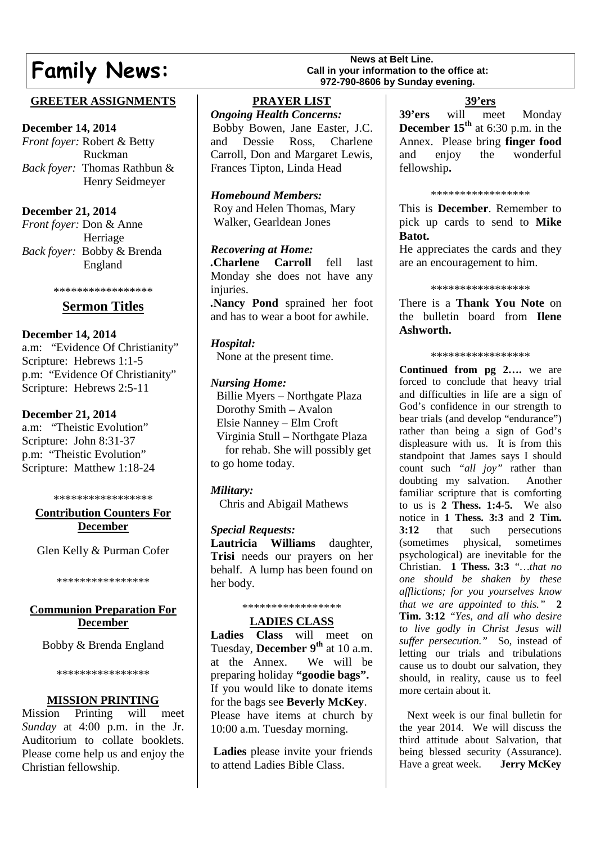# **Family News:** Call in your information to the **Family News Call is your information to the SAMILY**

# **GREETER ASSIGNMENTS**

#### **December 14, 2014**

*Front foyer:* Robert & Betty Ruckman *Back foyer:* Thomas Rathbun & Henry Seidmeyer

# **December 21, 2014**

*Front foyer:* Don & Anne Herriage *Back foyer:* Bobby & Brenda England

#### \*\*\*\*\*\*\*\*\*\*\*\*\*\*\*\*\*

# **Sermon Titles**

# **December 14, 2014**

a.m: "Evidence Of Christianity" Scripture: Hebrews 1:1-5 p.m: "Evidence Of Christianity" Scripture: Hebrews 2:5-11

## **December 21, 2014**

a.m: "Theistic Evolution" Scripture: John 8:31-37 p.m: "Theistic Evolution" Scripture: Matthew 1:18-24

#### \*\*\*\*\*\*\*\*\*\*\*\*\*\*\*\*\*

#### **Contribution Counters For December**

Glen Kelly & Purman Cofer

\*\*\*\*\*\*\*\*\*\*\*\*\*\*\*\*

#### **Communion Preparation For December**

Bobby & Brenda England

\*\*\*\*\*\*\*\*\*\*\*\*\*\*\*\*

# **MISSION PRINTING**

Mission Printing will meet *Sunday* at 4:00 p.m. in the Jr. Auditorium to collate booklets. Please come help us and enjoy the Christian fellowship.

# **PRAYER LIST**

*Ongoing Health Concerns:* Bobby Bowen, Jane Easter, J.C. and Dessie Ross, Charlene Carroll, Don and Margaret Lewis, Frances Tipton, Linda Head

*Homebound Members:* Roy and Helen Thomas, Mary Walker, Gearldean Jones

# *Recovering at Home:*

*.***Charlene Carroll** fell last Monday she does not have any injuries. *.***Nancy Pond** sprained her foot

and has to wear a boot for awhile.

## *Hospital:*

None at the present time.

## *Nursing Home:*

Billie Myers – Northgate Plaza Dorothy Smith – Avalon Elsie Nanney – Elm Croft Virginia Stull – Northgate Plaza for rehab. She will possibly get to go home today.

# *Military:*

Chris and Abigail Mathews

# *Special Requests:*

**Lautricia Williams** daughter, **Trisi** needs our prayers on her behalf. A lump has been found on her body.

#### \*\*\*\*\*\*\*\*\*\*\*\*\*\*\*\*\*

# **LADIES CLASS**

**Ladies Class** will meet on Tuesday, **December 9th** at 10 a.m. at the Annex. We will be preparing holiday **"goodie bags".** If you would like to donate items for the bags see **Beverly McKey**. Please have items at church by 10:00 a.m. Tuesday morning.

**Ladies** please invite your friends to attend Ladies Bible Class.

# **Call in your information to the office at: 972-790-8606 by Sunday evening.**

# **39'ers**

**39'ers** will meet Monday **December 15th** at 6:30 p.m. in the Annex. Please bring **finger food** and enjoy the wonderful fellowship**.**

#### \*\*\*\*\*\*\*\*\*\*\*\*\*\*\*\*\*

This is **December**. Remember to pick up cards to send to **Mike Batot.**

He appreciates the cards and they are an encouragement to him.

#### \*\*\*\*\*\*\*\*\*\*\*\*\*\*\*\*\*

There is a **Thank You Note** on the bulletin board from **Ilene Ashworth.**

#### \*\*\*\*\*\*\*\*\*\*\*\*\*\*\*\*\*

**Continued from pg 2….** we are forced to conclude that heavy trial and difficulties in life are a sign of God's confidence in our strength to bear trials (and develop "endurance") rather than being a sign of God's displeasure with us. It is from this standpoint that James says I should count such *"all joy"* rather than doubting my salvation. Another familiar scripture that is comforting to us is **2 Thess. 1:4-5.** We also notice in **1 Thess. 3:3** and **2 Tim. 3:12** that such persecutions (sometimes physical, sometimes psychological) are inevitable for the Christian. **1 Thess. 3:3** *"…that no one should be shaken by these afflictions; for you yourselves know that we are appointed to this."* **2 Tim. 3:12** *"Yes, and all who desire to live godly in Christ Jesus will suffer persecution."* So, instead of letting our trials and tribulations cause us to doubt our salvation, they should, in reality, cause us to feel more certain about it.

Next week is our final bulletin for the year 2014. We will discuss the third attitude about Salvation, that being blessed security (Assurance). Have a great week. **Jerry McKey**